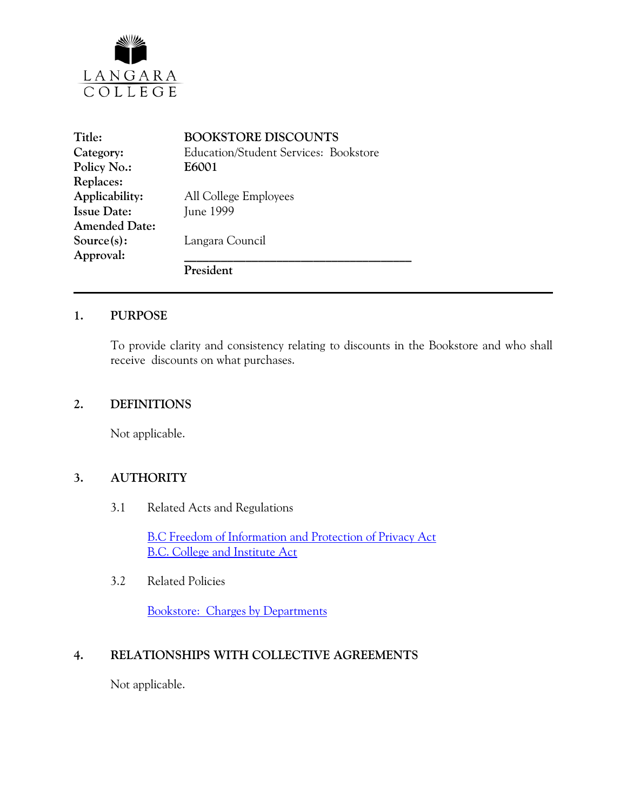

| Title:               | <b>BOOKSTORE DISCOUNTS</b>                   |  |
|----------------------|----------------------------------------------|--|
| Category:            | <b>Education/Student Services: Bookstore</b> |  |
| Policy No.:          | E6001                                        |  |
| Replaces:            |                                              |  |
| Applicability:       | All College Employees                        |  |
| <b>Issue Date:</b>   | June 1999                                    |  |
| <b>Amended Date:</b> |                                              |  |
| Source(s):           | Langara Council                              |  |
| Approval:            |                                              |  |
|                      | President                                    |  |

#### **1. PURPOSE**

To provide clarity and consistency relating to discounts in the Bookstore and who shall receive discounts on what purchases.

#### **2. DEFINITIONS**

Not applicable.

#### **3. AUTHORITY**

3.1 Related Acts and Regulations

[B.C Freedom of Information and Protection of Privacy Act](http://www.mser.gov.bc.ca/foi_pop/index_toc.htm) [B.C. College and Institute Act](http://www.qp.gov.bc.ca/statreg/stat/C/96052_01.htm)

3.2 Related Policies

[Bookstore: Charges by Departments](http://www.langara.bc.ca/policies/E6002.pdf) 

# **4. RELATIONSHIPS WITH COLLECTIVE AGREEMENTS**

Not applicable.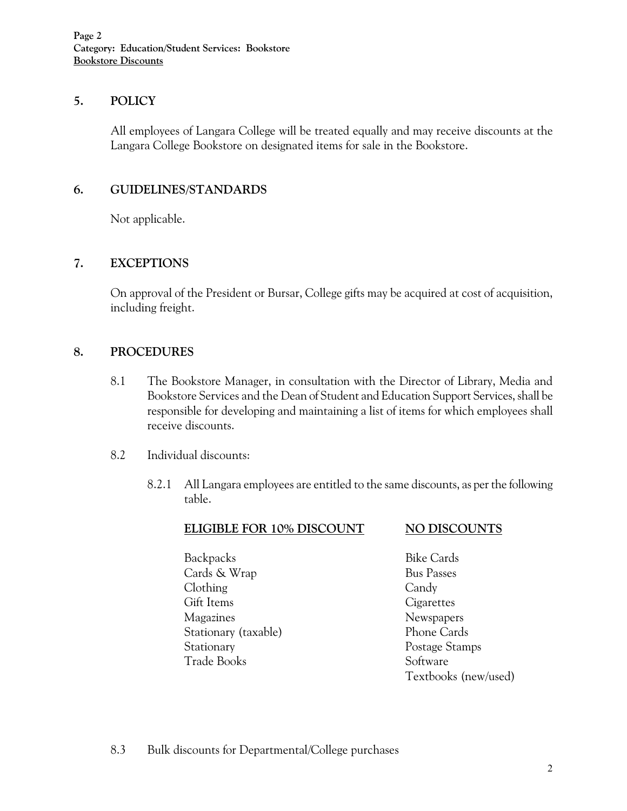## **5. POLICY**

All employees of Langara College will be treated equally and may receive discounts at the Langara College Bookstore on designated items for sale in the Bookstore.

## **6. GUIDELINES/STANDARDS**

Not applicable.

## **7. EXCEPTIONS**

On approval of the President or Bursar, College gifts may be acquired at cost of acquisition, including freight.

## **8. PROCEDURES**

- 8.1 The Bookstore Manager, in consultation with the Director of Library, Media and Bookstore Services and the Dean of Student and Education Support Services, shall be responsible for developing and maintaining a list of items for which employees shall receive discounts.
- 8.2 Individual discounts:
	- 8.2.1 All Langara employees are entitled to the same discounts, as per the following table.

| <b>ELIGIBLE FOR 10% DISCOUNT</b> | <b>NO DISCOUNTS</b>  |
|----------------------------------|----------------------|
| Backpacks                        | <b>Bike Cards</b>    |
| Cards & Wrap                     | <b>Bus Passes</b>    |
| Clothing                         | Candy                |
| Gift Items                       | Cigarettes           |
| Magazines                        | Newspapers           |
| Stationary (taxable)             | Phone Cards          |
| Stationary                       | Postage Stamps       |
| Trade Books                      | Software             |
|                                  | Textbooks (new/used) |